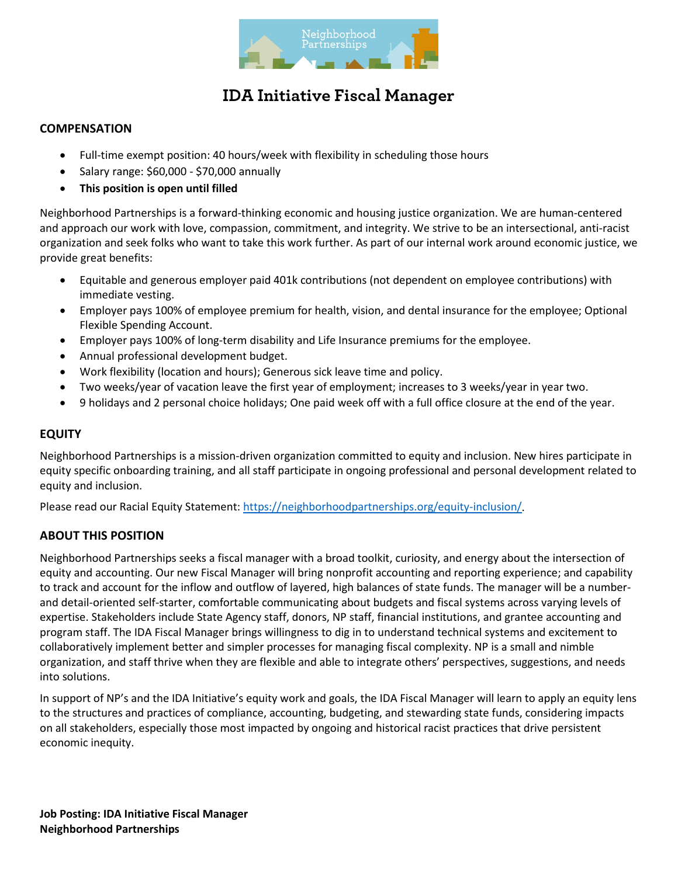

### **COMPENSATION**

- Full-time exempt position: 40 hours/week with flexibility in scheduling those hours
- Salary range: \$60,000 \$70,000 annually
- **This position is open until filled**

Neighborhood Partnerships is a forward-thinking economic and housing justice organization. We are human-centered and approach our work with love, compassion, commitment, and integrity. We strive to be an intersectional, anti-racist organization and seek folks who want to take this work further. As part of our internal work around economic justice, we provide great benefits:

- Equitable and generous employer paid 401k contributions (not dependent on employee contributions) with immediate vesting.
- Employer pays 100% of employee premium for health, vision, and dental insurance for the employee; Optional Flexible Spending Account.
- Employer pays 100% of long-term disability and Life Insurance premiums for the employee.
- Annual professional development budget.
- Work flexibility (location and hours); Generous sick leave time and policy.
- Two weeks/year of vacation leave the first year of employment; increases to 3 weeks/year in year two.
- 9 holidays and 2 personal choice holidays; One paid week off with a full office closure at the end of the year.

#### **EQUITY**

Neighborhood Partnerships is a mission-driven organization committed to equity and inclusion. New hires participate in equity specific onboarding training, and all staff participate in ongoing professional and personal development related to equity and inclusion.

Please read our Racial Equity Statement[: https://neighborhoodpartnerships.org/equity-inclusion/.](https://neighborhoodpartnerships.org/equity-inclusion/)

### **ABOUT THIS POSITION**

Neighborhood Partnerships seeks a fiscal manager with a broad toolkit, curiosity, and energy about the intersection of equity and accounting. Our new Fiscal Manager will bring nonprofit accounting and reporting experience; and capability to track and account for the inflow and outflow of layered, high balances of state funds. The manager will be a numberand detail-oriented self-starter, comfortable communicating about budgets and fiscal systems across varying levels of expertise. Stakeholders include State Agency staff, donors, NP staff, financial institutions, and grantee accounting and program staff. The IDA Fiscal Manager brings willingness to dig in to understand technical systems and excitement to collaboratively implement better and simpler processes for managing fiscal complexity. NP is a small and nimble organization, and staff thrive when they are flexible and able to integrate others' perspectives, suggestions, and needs into solutions.

In support of NP's and the IDA Initiative's equity work and goals, the IDA Fiscal Manager will learn to apply an equity lens to the structures and practices of compliance, accounting, budgeting, and stewarding state funds, considering impacts on all stakeholders, especially those most impacted by ongoing and historical racist practices that drive persistent economic inequity.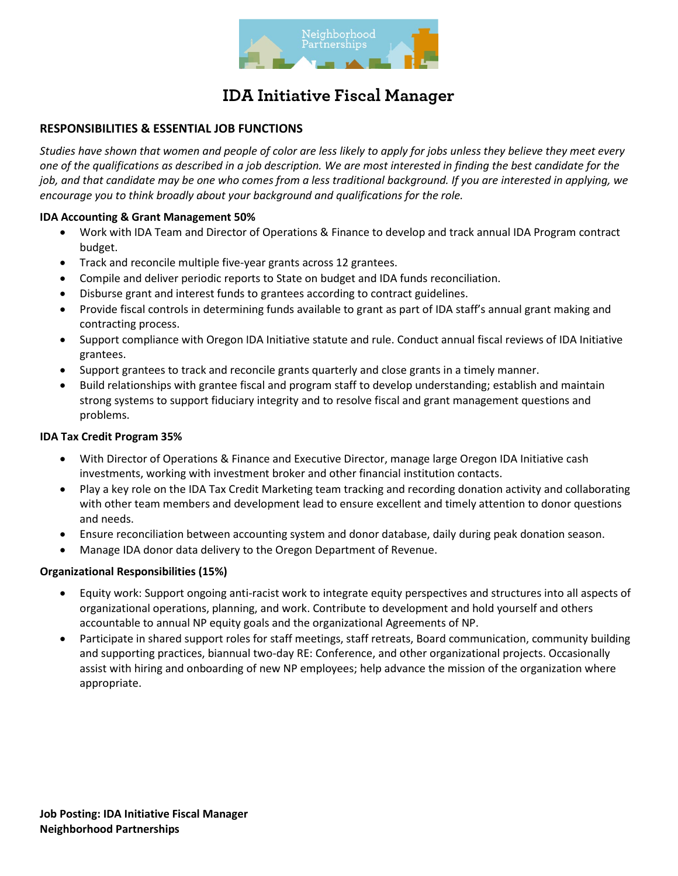

### **RESPONSIBILITIES & ESSENTIAL JOB FUNCTIONS**

*Studies have shown that women and people of color are less likely to apply for jobs unless they believe they meet every one of the qualifications as described in a job description. We are most interested in finding the best candidate for the job, and that candidate may be one who comes from a less traditional background. If you are interested in applying, we encourage you to think broadly about your background and qualifications for the role.*

#### **IDA Accounting & Grant Management 50%**

- Work with IDA Team and Director of Operations & Finance to develop and track annual IDA Program contract budget.
- Track and reconcile multiple five-year grants across 12 grantees.
- Compile and deliver periodic reports to State on budget and IDA funds reconciliation.
- Disburse grant and interest funds to grantees according to contract guidelines.
- Provide fiscal controls in determining funds available to grant as part of IDA staff's annual grant making and contracting process.
- Support compliance with Oregon IDA Initiative statute and rule. Conduct annual fiscal reviews of IDA Initiative grantees.
- Support grantees to track and reconcile grants quarterly and close grants in a timely manner.
- Build relationships with grantee fiscal and program staff to develop understanding; establish and maintain strong systems to support fiduciary integrity and to resolve fiscal and grant management questions and problems.

#### **IDA Tax Credit Program 35%**

- With Director of Operations & Finance and Executive Director, manage large Oregon IDA Initiative cash investments, working with investment broker and other financial institution contacts.
- Play a key role on the IDA Tax Credit Marketing team tracking and recording donation activity and collaborating with other team members and development lead to ensure excellent and timely attention to donor questions and needs.
- Ensure reconciliation between accounting system and donor database, daily during peak donation season.
- Manage IDA donor data delivery to the Oregon Department of Revenue.

#### **Organizational Responsibilities (15%)**

- Equity work: Support ongoing anti-racist work to integrate equity perspectives and structures into all aspects of organizational operations, planning, and work. Contribute to development and hold yourself and others accountable to annual NP equity goals and the organizational Agreements of NP.
- Participate in shared support roles for staff meetings, staff retreats, Board communication, community building and supporting practices, biannual two-day RE: Conference, and other organizational projects. Occasionally assist with hiring and onboarding of new NP employees; help advance the mission of the organization where appropriate.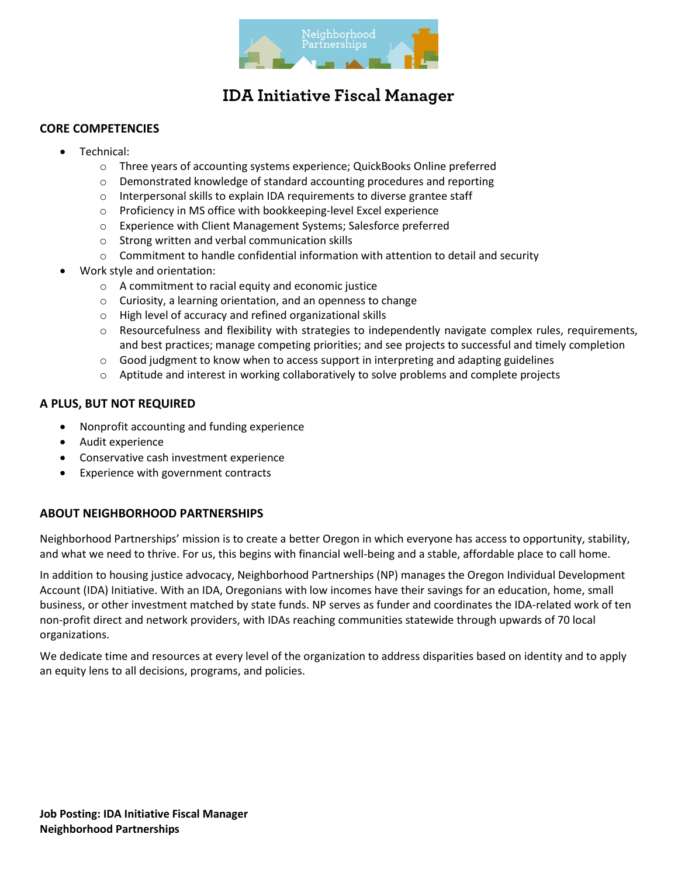

### **CORE COMPETENCIES**

- Technical:
	- o Three years of accounting systems experience; QuickBooks Online preferred
	- o Demonstrated knowledge of standard accounting procedures and reporting
	- o Interpersonal skills to explain IDA requirements to diverse grantee staff
	- o Proficiency in MS office with bookkeeping-level Excel experience
	- o Experience with Client Management Systems; Salesforce preferred
	- o Strong written and verbal communication skills
	- o Commitment to handle confidential information with attention to detail and security
- Work style and orientation:
	- o A commitment to racial equity and economic justice
	- o Curiosity, a learning orientation, and an openness to change
	- o High level of accuracy and refined organizational skills
	- $\circ$  Resourcefulness and flexibility with strategies to independently navigate complex rules, requirements, and best practices; manage competing priorities; and see projects to successful and timely completion
	- $\circ$  Good judgment to know when to access support in interpreting and adapting guidelines
	- o Aptitude and interest in working collaboratively to solve problems and complete projects

### **A PLUS, BUT NOT REQUIRED**

- Nonprofit accounting and funding experience
- Audit experience
- Conservative cash investment experience
- Experience with government contracts

### **ABOUT NEIGHBORHOOD PARTNERSHIPS**

Neighborhood Partnerships' mission is to create a better Oregon in which everyone has access to opportunity, stability, and what we need to thrive. For us, this begins with financial well-being and a stable, affordable place to call home.

In addition to housing justice advocacy, Neighborhood Partnerships (NP) manages the Oregon Individual Development Account (IDA) Initiative. With an IDA, Oregonians with low incomes have their savings for an education, home, small business, or other investment matched by state funds. NP serves as funder and coordinates the IDA-related work of ten non-profit direct and network providers, with IDAs reaching communities statewide through upwards of 70 local organizations.

We dedicate time and resources at every level of the organization to address disparities based on identity and to apply an equity lens to all decisions, programs, and policies.